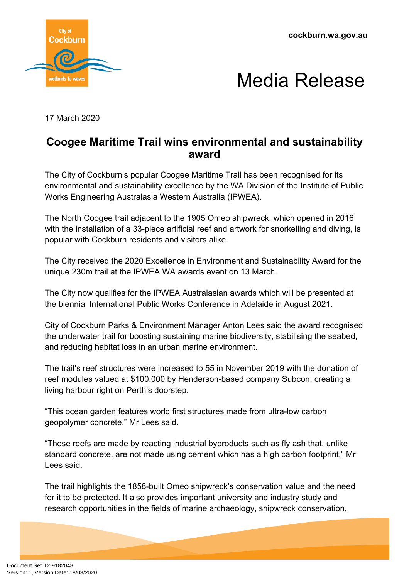**cockburn.wa.gov.au**





17 March 2020

## **Coogee Maritime Trail wins environmental and sustainability award**

The City of Cockburn's popular Coogee Maritime Trail has been recognised for its environmental and sustainability excellence by the WA Division of the Institute of Public Works Engineering Australasia Western Australia (IPWEA).

The North Coogee trail adjacent to the 1905 Omeo shipwreck, which opened in 2016 with the installation of a 33-piece artificial reef and artwork for snorkelling and diving, is popular with Cockburn residents and visitors alike.

The City received the 2020 Excellence in Environment and Sustainability Award for the unique 230m trail at the IPWEA WA awards event on 13 March.

The City now qualifies for the IPWEA Australasian awards which will be presented at the biennial International Public Works Conference in Adelaide in August 2021.

City of Cockburn Parks & Environment Manager Anton Lees said the award recognised the underwater trail for boosting sustaining marine biodiversity, stabilising the seabed, and reducing habitat loss in an urban marine environment.

The trail's reef structures were increased to 55 in November 2019 with the donation of reef modules valued at \$100,000 by Henderson-based company Subcon, creating a living harbour right on Perth's doorstep.

"This ocean garden features world first structures made from ultra-low carbon geopolymer concrete," Mr Lees said.

"These reefs are made by reacting industrial byproducts such as fly ash that, unlike standard concrete, are not made using cement which has a high carbon footprint," Mr Lees said.

The trail highlights the 1858-built Omeo shipwreck's conservation value and the need for it to be protected. It also provides important university and industry study and research opportunities in the fields of marine archaeology, shipwreck conservation,

Document Set ID: 9182048<br>Version: 1, Version Date: 18/03/2020